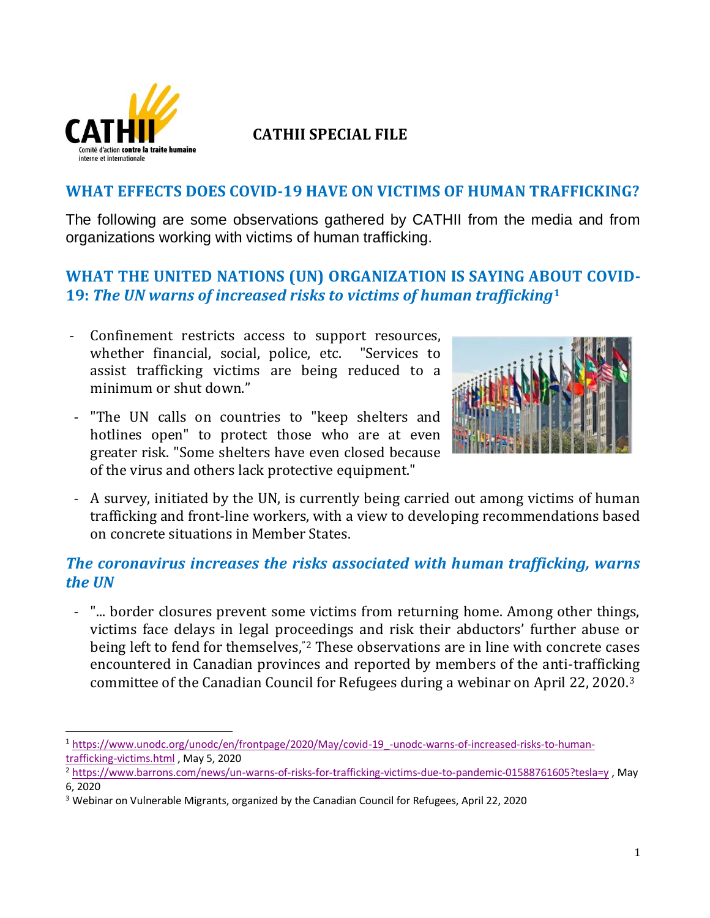

l

# **CATHII SPECIAL FILE**

#### **WHAT EFFECTS DOES COVID-19 HAVE ON VICTIMS OF HUMAN TRAFFICKING?**

The following are some observations gathered by CATHII from the media and from organizations working with victims of human trafficking.

# **WHAT THE UNITED NATIONS (UN) ORGANIZATION IS SAYING ABOUT COVID-19:** *The UN warns of increased risks to victims of human trafficking***<sup>1</sup>**

- Confinement restricts access to support resources, whether financial, social, police, etc. "Services to assist trafficking victims are being reduced to a minimum or shut down."
- "The UN calls on countries to "keep shelters and hotlines open" to protect those who are at even greater risk. "Some shelters have even closed because of the virus and others lack protective equipment."



- A survey, initiated by the UN, is currently being carried out among victims of human trafficking and front-line workers, with a view to developing recommendations based on concrete situations in Member States.

### *The coronavirus increases the risks associated with human trafficking, warns the UN*

- "... border closures prevent some victims from returning home. Among other things, victims face delays in legal proceedings and risk their abductors' further abuse or being left to fend for themselves,"<sup>2</sup> These observations are in line with concrete cases encountered in Canadian provinces and reported by members of the anti-trafficking committee of the Canadian Council for Refugees during a webinar on April 22, 2020.<sup>3</sup>

<sup>1</sup> [https://www.unodc.org/unodc/en/frontpage/2020/May/covid-19\\_-unodc-warns-of-increased-risks-to-human](https://www.unodc.org/unodc/en/frontpage/2020/May/covid-19_-unodc-warns-of-increased-risks-to-human-trafficking-victims.html)[trafficking-victims.html](https://www.unodc.org/unodc/en/frontpage/2020/May/covid-19_-unodc-warns-of-increased-risks-to-human-trafficking-victims.html) , May 5, 2020

<sup>2</sup> <https://www.barrons.com/news/un-warns-of-risks-for-trafficking-victims-due-to-pandemic-01588761605?tesla=y> , May 6, 2020

<sup>3</sup> Webinar on Vulnerable Migrants, organized by the Canadian Council for Refugees, April 22, 2020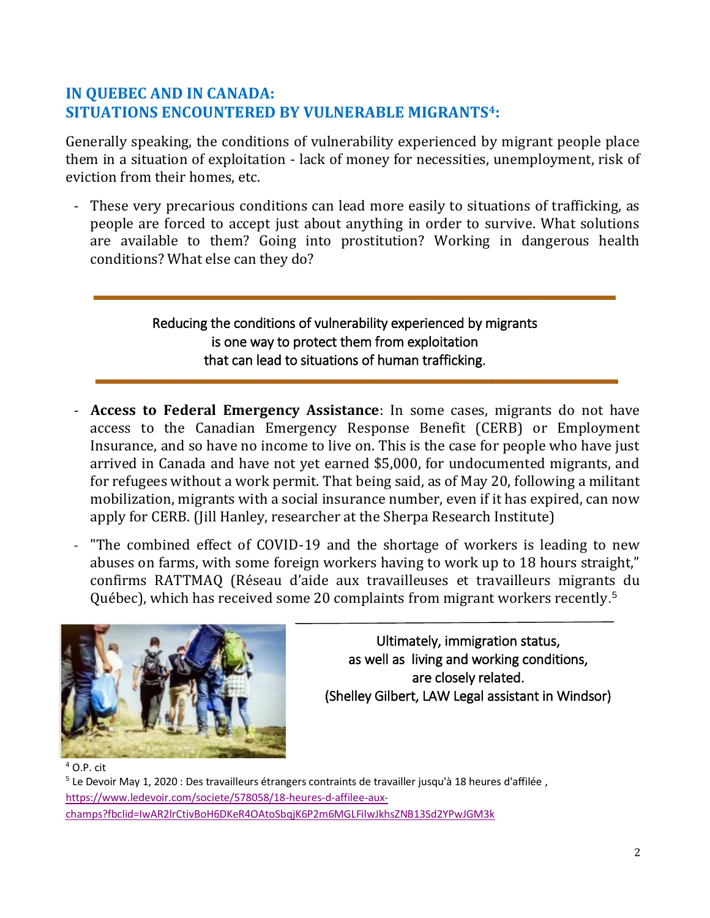# **IN QUEBEC AND IN CANADA: SITUATIONS ENCOUNTERED BY VULNERABLE MIGRANTS4:**

Generally speaking, the conditions of vulnerability experienced by migrant people place them in a situation of exploitation - lack of money for necessities, unemployment, risk of eviction from their homes, etc.

These very precarious conditions can lead more easily to situations of trafficking, as people are forced to accept just about anything in order to survive. What solutions are available to them? Going into prostitution? Working in dangerous health conditions? What else can they do?

### Reducing the conditions of vulnerability experienced by migrants is one way to protect them from exploitation that can lead to situations of human trafficking.

- **Access to Federal Emergency Assistance**: In some cases, migrants do not have access to the Canadian Emergency Response Benefit (CERB) or Employment Insurance, and so have no income to live on. This is the case for people who have just arrived in Canada and have not yet earned \$5,000, for undocumented migrants, and for refugees without a work permit. That being said, as of May 20, following a militant mobilization, migrants with a social insurance number, even if it has expired, can now apply for CERB. (Jill Hanley, researcher at the Sherpa Research Institute)
- "The combined effect of COVID-19 and the shortage of workers is leading to new abuses on farms, with some foreign workers having to work up to 18 hours straight," confirms RATTMAQ (Réseau d'aide aux travailleuses et travailleurs migrants du Québec), which has received some 20 complaints from migrant workers recently. 5



Ultimately, immigration status, as well as living and working conditions, are closely related. (Shelley Gilbert, LAW Legal assistant in Windsor)

<sup>5</sup> Le Devoir May 1, 2020 : Des travailleurs étrangers contraints de travailler jusqu'à 18 heures d'affilée , [https://www.ledevoir.com/societe/578058/18-heures-d-affilee-aux](https://www.ledevoir.com/societe/578058/18-heures-d-affilee-aux-champs?fbclid=IwAR2lrCtivBoH6DKeR4OAtoSbqjK6P2m6MGLFilwJkhsZNB13Sd2YPwJGM3k)[champs?fbclid=IwAR2lrCtivBoH6DKeR4OAtoSbqjK6P2m6MGLFilwJkhsZNB13Sd2YPwJGM3k](https://www.ledevoir.com/societe/578058/18-heures-d-affilee-aux-champs?fbclid=IwAR2lrCtivBoH6DKeR4OAtoSbqjK6P2m6MGLFilwJkhsZNB13Sd2YPwJGM3k)

 $4$  O.P. cit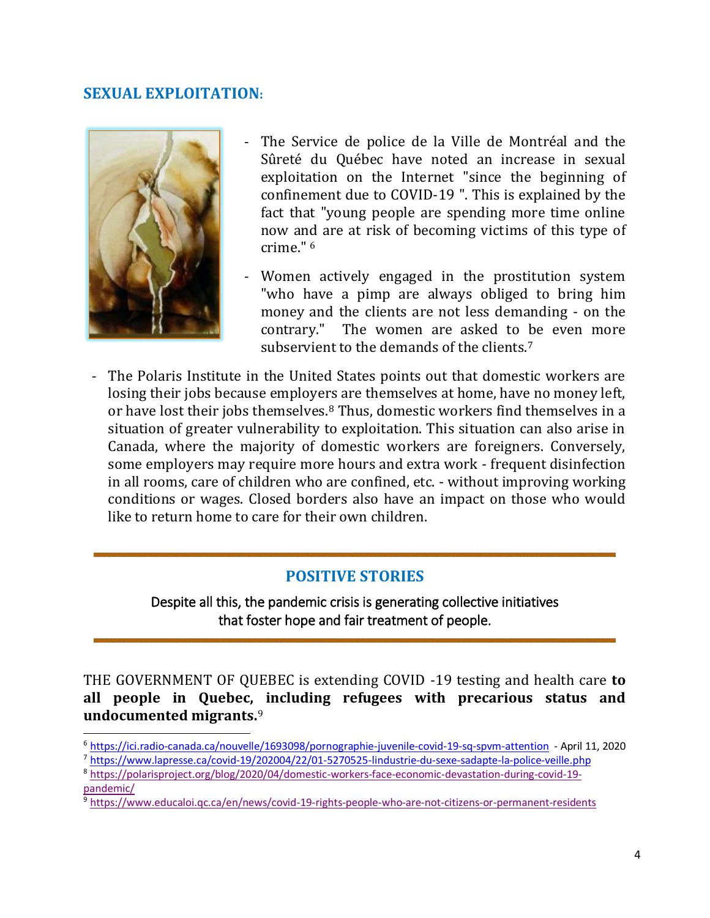#### **SEXUAL EXPLOITATION:**



 $\overline{\phantom{0}}$ 

- The Service de police de la Ville de Montréal and the Sûreté du Québec have noted an increase in sexual exploitation on the Internet "since the beginning of confinement due to COVID-19 ". This is explained by the fact that "young people are spending more time online now and are at risk of becoming victims of this type of crime." <sup>6</sup>
- Women actively engaged in the prostitution system "who have a pimp are always obliged to bring him money and the clients are not less demanding - on the contrary." The women are asked to be even more subservient to the demands of the clients.<sup>7</sup>
- The Polaris Institute in the United States points out that domestic workers are losing their jobs because employers are themselves at home, have no money left, or have lost their jobs themselves.<sup>8</sup> Thus, domestic workers find themselves in a situation of greater vulnerability to exploitation. This situation can also arise in Canada, where the majority of domestic workers are foreigners. Conversely, some employers may require more hours and extra work - frequent disinfection in all rooms, care of children who are confined, etc. - without improving working conditions or wages. Closed borders also have an impact on those who would like to return home to care for their own children.

#### **POSITIVE STORIES**

Despite all this, the pandemic crisis is generating collective initiatives that foster hope and fair treatment of people.

THE GOVERNMENT OF QUEBEC is extending COVID -19 testing and health care **to all people in Quebec, including refugees with precarious status and undocumented migrants.**<sup>9</sup>

<sup>6</sup> <https://ici.radio-canada.ca/nouvelle/1693098/pornographie-juvenile-covid-19-sq-spvm-attention>- April 11, 2020 <sup>7</sup> <https://www.lapresse.ca/covid-19/202004/22/01-5270525-lindustrie-du-sexe-sadapte-la-police-veille.php>

<sup>8</sup> [https://polarisproject.org/blog/2020/04/domestic-workers-face-economic-devastation-during-covid-19](https://polarisproject.org/blog/2020/04/domestic-workers-face-economic-devastation-during-covid-19-pandemic/) [pandemic/](https://polarisproject.org/blog/2020/04/domestic-workers-face-economic-devastation-during-covid-19-pandemic/)

<sup>9</sup> <https://www.educaloi.qc.ca/en/news/covid-19-rights-people-who-are-not-citizens-or-permanent-residents>